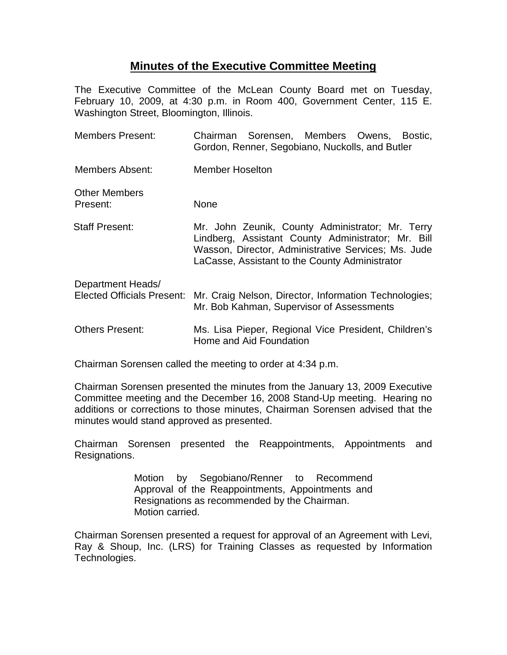## **Minutes of the Executive Committee Meeting**

The Executive Committee of the McLean County Board met on Tuesday, February 10, 2009, at 4:30 p.m. in Room 400, Government Center, 115 E. Washington Street, Bloomington, Illinois.

| <b>Members Present:</b>                                | Chairman Sorensen, Members Owens, Bostic,<br>Gordon, Renner, Segobiano, Nuckolls, and Butler                                                                                                                    |
|--------------------------------------------------------|-----------------------------------------------------------------------------------------------------------------------------------------------------------------------------------------------------------------|
| Members Absent:                                        | <b>Member Hoselton</b>                                                                                                                                                                                          |
| <b>Other Members</b><br>Present:                       | <b>None</b>                                                                                                                                                                                                     |
| Staff Present:                                         | Mr. John Zeunik, County Administrator; Mr. Terry<br>Lindberg, Assistant County Administrator; Mr. Bill<br>Wasson, Director, Administrative Services; Ms. Jude<br>LaCasse, Assistant to the County Administrator |
| Department Heads/<br><b>Elected Officials Present:</b> | Mr. Craig Nelson, Director, Information Technologies;<br>Mr. Bob Kahman, Supervisor of Assessments                                                                                                              |
| <b>Others Present:</b>                                 | Ms. Lisa Pieper, Regional Vice President, Children's<br>Home and Aid Foundation                                                                                                                                 |

Chairman Sorensen called the meeting to order at 4:34 p.m.

Chairman Sorensen presented the minutes from the January 13, 2009 Executive Committee meeting and the December 16, 2008 Stand-Up meeting. Hearing no additions or corrections to those minutes, Chairman Sorensen advised that the minutes would stand approved as presented.

Chairman Sorensen presented the Reappointments, Appointments and Resignations.

> Motion by Segobiano/Renner to Recommend Approval of the Reappointments, Appointments and Resignations as recommended by the Chairman. Motion carried.

Chairman Sorensen presented a request for approval of an Agreement with Levi, Ray & Shoup, Inc. (LRS) for Training Classes as requested by Information Technologies.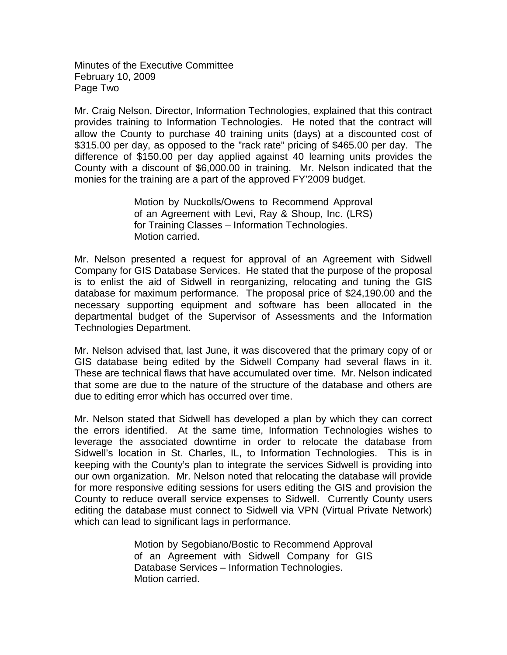Minutes of the Executive Committee February 10, 2009 Page Two

Mr. Craig Nelson, Director, Information Technologies, explained that this contract provides training to Information Technologies. He noted that the contract will allow the County to purchase 40 training units (days) at a discounted cost of \$315.00 per day, as opposed to the "rack rate" pricing of \$465.00 per day. The difference of \$150.00 per day applied against 40 learning units provides the County with a discount of \$6,000.00 in training. Mr. Nelson indicated that the monies for the training are a part of the approved FY'2009 budget.

> Motion by Nuckolls/Owens to Recommend Approval of an Agreement with Levi, Ray & Shoup, Inc. (LRS) for Training Classes – Information Technologies. Motion carried.

Mr. Nelson presented a request for approval of an Agreement with Sidwell Company for GIS Database Services. He stated that the purpose of the proposal is to enlist the aid of Sidwell in reorganizing, relocating and tuning the GIS database for maximum performance. The proposal price of \$24,190.00 and the necessary supporting equipment and software has been allocated in the departmental budget of the Supervisor of Assessments and the Information Technologies Department.

Mr. Nelson advised that, last June, it was discovered that the primary copy of or GIS database being edited by the Sidwell Company had several flaws in it. These are technical flaws that have accumulated over time. Mr. Nelson indicated that some are due to the nature of the structure of the database and others are due to editing error which has occurred over time.

Mr. Nelson stated that Sidwell has developed a plan by which they can correct the errors identified. At the same time, Information Technologies wishes to leverage the associated downtime in order to relocate the database from Sidwell's location in St. Charles, IL, to Information Technologies. This is in keeping with the County's plan to integrate the services Sidwell is providing into our own organization. Mr. Nelson noted that relocating the database will provide for more responsive editing sessions for users editing the GIS and provision the County to reduce overall service expenses to Sidwell. Currently County users editing the database must connect to Sidwell via VPN (Virtual Private Network) which can lead to significant lags in performance.

> Motion by Segobiano/Bostic to Recommend Approval of an Agreement with Sidwell Company for GIS Database Services – Information Technologies. Motion carried.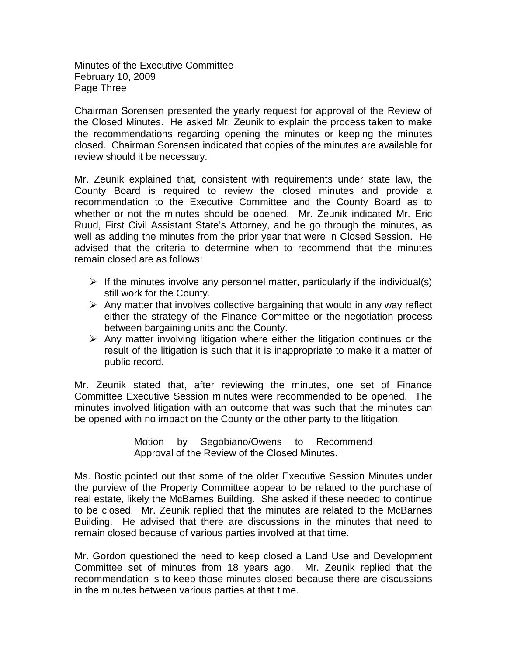Minutes of the Executive Committee February 10, 2009 Page Three

Chairman Sorensen presented the yearly request for approval of the Review of the Closed Minutes. He asked Mr. Zeunik to explain the process taken to make the recommendations regarding opening the minutes or keeping the minutes closed. Chairman Sorensen indicated that copies of the minutes are available for review should it be necessary.

Mr. Zeunik explained that, consistent with requirements under state law, the County Board is required to review the closed minutes and provide a recommendation to the Executive Committee and the County Board as to whether or not the minutes should be opened. Mr. Zeunik indicated Mr. Eric Ruud, First Civil Assistant State's Attorney, and he go through the minutes, as well as adding the minutes from the prior year that were in Closed Session. He advised that the criteria to determine when to recommend that the minutes remain closed are as follows:

- $\triangleright$  If the minutes involve any personnel matter, particularly if the individual(s) still work for the County.
- $\triangleright$  Any matter that involves collective bargaining that would in any way reflect either the strategy of the Finance Committee or the negotiation process between bargaining units and the County.
- $\triangleright$  Any matter involving litigation where either the litigation continues or the result of the litigation is such that it is inappropriate to make it a matter of public record.

Mr. Zeunik stated that, after reviewing the minutes, one set of Finance Committee Executive Session minutes were recommended to be opened. The minutes involved litigation with an outcome that was such that the minutes can be opened with no impact on the County or the other party to the litigation.

> Motion by Segobiano/Owens to Recommend Approval of the Review of the Closed Minutes.

Ms. Bostic pointed out that some of the older Executive Session Minutes under the purview of the Property Committee appear to be related to the purchase of real estate, likely the McBarnes Building. She asked if these needed to continue to be closed. Mr. Zeunik replied that the minutes are related to the McBarnes Building. He advised that there are discussions in the minutes that need to remain closed because of various parties involved at that time.

Mr. Gordon questioned the need to keep closed a Land Use and Development Committee set of minutes from 18 years ago. Mr. Zeunik replied that the recommendation is to keep those minutes closed because there are discussions in the minutes between various parties at that time.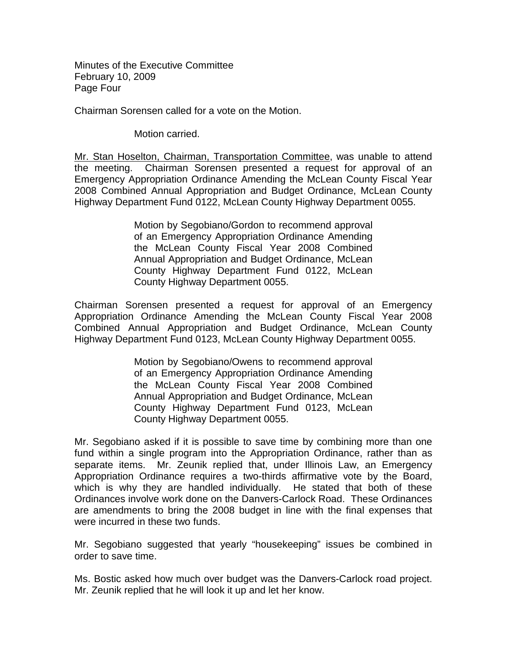Minutes of the Executive Committee February 10, 2009 Page Four

Chairman Sorensen called for a vote on the Motion.

Motion carried.

Mr. Stan Hoselton, Chairman, Transportation Committee, was unable to attend the meeting. Chairman Sorensen presented a request for approval of an Emergency Appropriation Ordinance Amending the McLean County Fiscal Year 2008 Combined Annual Appropriation and Budget Ordinance, McLean County Highway Department Fund 0122, McLean County Highway Department 0055.

> Motion by Segobiano/Gordon to recommend approval of an Emergency Appropriation Ordinance Amending the McLean County Fiscal Year 2008 Combined Annual Appropriation and Budget Ordinance, McLean County Highway Department Fund 0122, McLean County Highway Department 0055.

Chairman Sorensen presented a request for approval of an Emergency Appropriation Ordinance Amending the McLean County Fiscal Year 2008 Combined Annual Appropriation and Budget Ordinance, McLean County Highway Department Fund 0123, McLean County Highway Department 0055.

> Motion by Segobiano/Owens to recommend approval of an Emergency Appropriation Ordinance Amending the McLean County Fiscal Year 2008 Combined Annual Appropriation and Budget Ordinance, McLean County Highway Department Fund 0123, McLean County Highway Department 0055.

Mr. Segobiano asked if it is possible to save time by combining more than one fund within a single program into the Appropriation Ordinance, rather than as separate items. Mr. Zeunik replied that, under Illinois Law, an Emergency Appropriation Ordinance requires a two-thirds affirmative vote by the Board, which is why they are handled individually. He stated that both of these Ordinances involve work done on the Danvers-Carlock Road. These Ordinances are amendments to bring the 2008 budget in line with the final expenses that were incurred in these two funds.

Mr. Segobiano suggested that yearly "housekeeping" issues be combined in order to save time.

Ms. Bostic asked how much over budget was the Danvers-Carlock road project. Mr. Zeunik replied that he will look it up and let her know.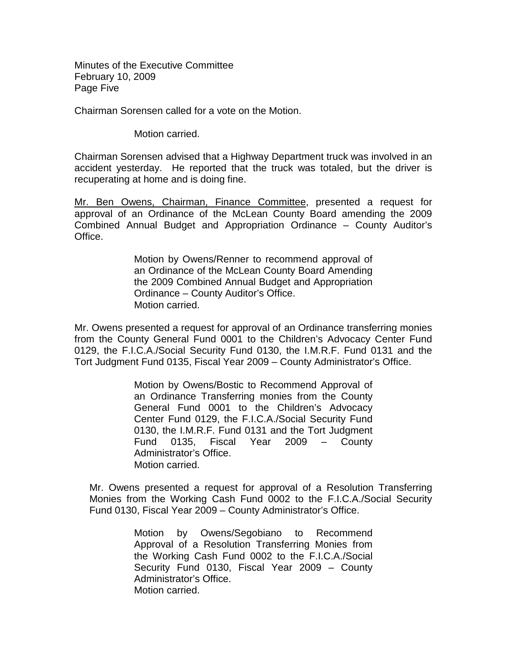Minutes of the Executive Committee February 10, 2009 Page Five

Chairman Sorensen called for a vote on the Motion.

Motion carried.

Chairman Sorensen advised that a Highway Department truck was involved in an accident yesterday. He reported that the truck was totaled, but the driver is recuperating at home and is doing fine.

Mr. Ben Owens, Chairman, Finance Committee , presented a request for approval of an Ordinance of the McLean County Board amending the 2009 Combined Annual Budget and Appropriation Ordinance – County Auditor's Office.

> Motion by Owens/Renner to recommend approval of an Ordinance of the McLean County Board Amending the 2009 Combined Annual Budget and Appropriation Ordinance – County Auditor's Office. Motion carried.

Mr. Owens presented a request for approval of an Ordinance transferring monies from the County General Fund 0001 to the Children's Advocacy Center Fund 0129, the F.I.C.A./Social Security Fund 0130, the I.M.R.F. Fund 0131 and the Tort Judgment Fund 0135, Fiscal Year 2009 – County Administrator's Office.

> Motion by Owens/Bostic to Recommend Approval of an Ordinance Transferring monies from the County General Fund 0001 to the Children's Advocacy Center Fund 0129, the F.I.C.A./Social Security Fund 0130, the I.M.R.F. Fund 0131 and the Tort Judgment Fund 0135, Fiscal Year 2009 – County Administrator's Office. Motion carried.

Mr. Owens presented a request for approval of a Resolution Transferring Monies from the Working Cash Fund 0002 to the F.I.C.A./Social Security Fund 0130, Fiscal Year 2009 – County Administrator's Office.

> Motion by Owens/Segobiano to Recommend Approval of a Resolution Transferring Monies from the Working Cash Fund 0002 to the F.I.C.A./Social Security Fund 0130, Fiscal Year 2009 – County Administrator's Office. Motion carried.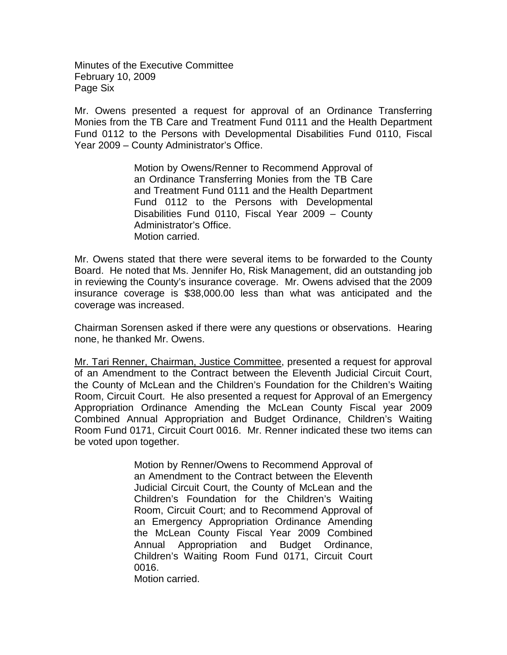Minutes of the Executive Committee February 10, 2009 Page Six

Mr. Owens presented a request for approval of an Ordinance Transferring Monies from the TB Care and Treatment Fund 0111 and the Health Department Fund 0112 to the Persons with Developmental Disabilities Fund 0110, Fiscal Year 2009 – County Administrator's Office.

> Motion by Owens/Renner to Recommend Approval of an Ordinance Transferring Monies from the TB Care and Treatment Fund 0111 and the Health Department Fund 0112 to the Persons with Developmental Disabilities Fund 0110, Fiscal Year 2009 – County Administrator's Office. Motion carried.

Mr. Owens stated that there were several items to be forwarded to the County Board. He noted that Ms. Jennifer Ho, Risk Management, did an outstanding job in reviewing the County's insurance coverage. Mr. Owens advised that the 2009 insurance coverage is \$38,000.00 less than what was anticipated and the coverage was increased.

Chairman Sorensen asked if there were any questions or observations. Hearing none, he thanked Mr. Owens.

Mr. Tari Renner, Chairman, Justice Committee, presented a request for approval of an Amendment to the Contract between the Eleventh Judicial Circuit Court, the County of McLean and the Children's Foundation for the Children's Waiting Room, Circuit Court. He also presented a request for Approval of an Emergency Appropriation Ordinance Amending the McLean County Fiscal year 2009 Combined Annual Appropriation and Budget Ordinance, Children's Waiting Room Fund 0171, Circuit Court 0016. Mr. Renner indicated these two items can be voted upon together.

> Motion by Renner/Owens to Recommend Approval of an Amendment to the Contract between the Eleventh Judicial Circuit Court, the County of McLean and the Children's Foundation for the Children's Waiting Room, Circuit Court; and to Recommend Approval of an Emergency Appropriation Ordinance Amending the McLean County Fiscal Year 2009 Combined Annual Appropriation and Budget Ordinance, Children's Waiting Room Fund 0171, Circuit Court 0016.

Motion carried.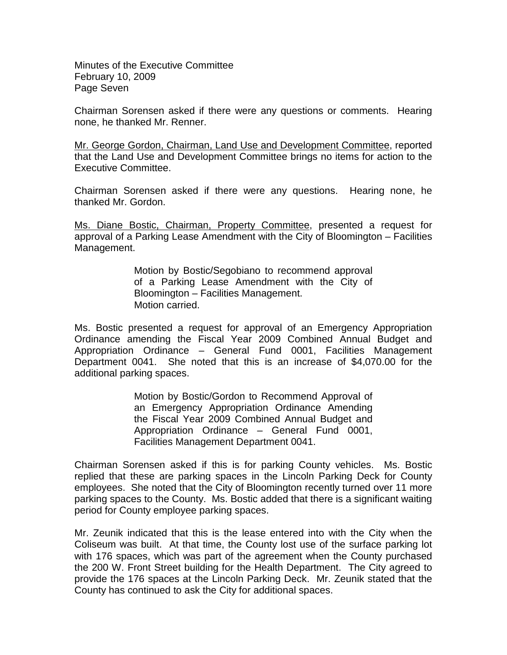Minutes of the Executive Committee February 10, 2009 Page Seven

Chairman Sorensen asked if there were any questions or comments. Hearing none, he thanked Mr. Renner.

Mr. George Gordon, Chairman, Land Use and Development Committee, reported that the Land Use and Development Committee brings no items for action to the Executive Committee.

Chairman Sorensen asked if there were any questions. Hearing none, he thanked Mr. Gordon.

Ms. Diane Bostic, Chairman, Property Committee, presented a request for approval of a Parking Lease Amendment with the City of Bloomington – Facilities Management.

> Motion by Bostic/Segobiano to recommend approval of a Parking Lease Amendment with the City of Bloomington – Facilities Management. Motion carried.

Ms. Bostic presented a request for approval of an Emergency Appropriation Ordinance amending the Fiscal Year 2009 Combined Annual Budget and Appropriation Ordinance – General Fund 0001, Facilities Management Department 0041. She noted that this is an increase of \$4,070.00 for the additional parking spaces.

> Motion by Bostic/Gordon to Recommend Approval of an Emergency Appropriation Ordinance Amending the Fiscal Year 2009 Combined Annual Budget and Appropriation Ordinance – General Fund 0001, Facilities Management Department 0041.

Chairman Sorensen asked if this is for parking County vehicles. Ms. Bostic replied that these are parking spaces in the Lincoln Parking Deck for County employees. She noted that the City of Bloomington recently turned over 11 more parking spaces to the County. Ms. Bostic added that there is a significant waiting period for County employee parking spaces.

Mr. Zeunik indicated that this is the lease entered into with the City when the Coliseum was built. At that time, the County lost use of the surface parking lot with 176 spaces, which was part of the agreement when the County purchased the 200 W. Front Street building for the Health Department. The City agreed to provide the 176 spaces at the Lincoln Parking Deck. Mr. Zeunik stated that the County has continued to ask the City for additional spaces.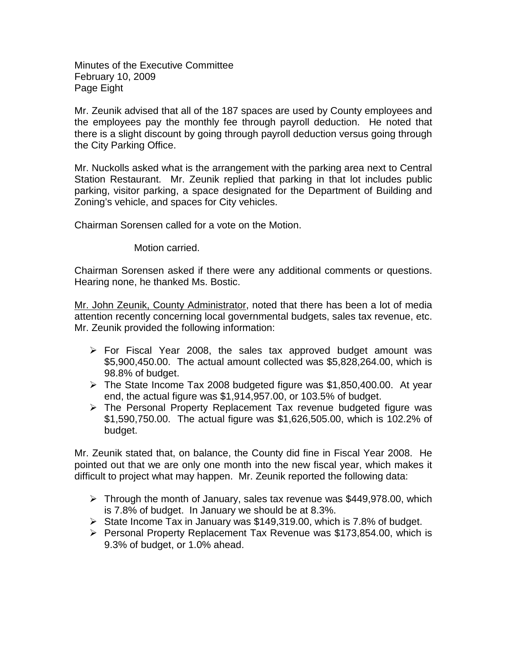Minutes of the Executive Committee February 10, 2009 Page Eight

Mr. Zeunik advised that all of the 187 spaces are used by County employees and the employees pay the monthly fee through payroll deduction. He noted that there is a slight discount by going through payroll deduction versus going through the City Parking Office.

Mr. Nuckolls asked what is the arrangement with the parking area next to Central Station Restaurant. Mr. Zeunik replied that parking in that lot includes public parking, visitor parking, a space designated for the Department of Building and Zoning's vehicle, and spaces for City vehicles.

Chairman Sorensen called for a vote on the Motion.

Motion carried.

Chairman Sorensen asked if there were any additional comments or questions. Hearing none, he thanked Ms. Bostic.

Mr. John Zeunik, County Administrator, noted that there has been a lot of media attention recently concerning local governmental budgets, sales tax revenue, etc. Mr. Zeunik provided the following information:

- $\triangleright$  For Fiscal Year 2008, the sales tax approved budget amount was \$5,900,450.00. The actual amount collected was \$5,828,264.00, which is 98.8% of budget.
- $\triangleright$  The State Income Tax 2008 budgeted figure was \$1,850,400.00. At year end, the actual figure was \$1,914,957.00, or 103.5% of budget.
- $\triangleright$  The Personal Property Replacement Tax revenue budgeted figure was \$1,590,750.00. The actual figure was \$1,626,505.00, which is 102.2% of budget.

Mr. Zeunik stated that, on balance, the County did fine in Fiscal Year 2008. He pointed out that we are only one month into the new fiscal year, which makes it difficult to project what may happen. Mr. Zeunik reported the following data:

- $\triangleright$  Through the month of January, sales tax revenue was \$449,978.00, which is 7.8% of budget. In January we should be at 8.3%.
- $\triangleright$  State Income Tax in January was \$149,319.00, which is 7.8% of budget.
- $\triangleright$  Personal Property Replacement Tax Revenue was \$173,854.00, which is 9.3% of budget, or 1.0% ahead.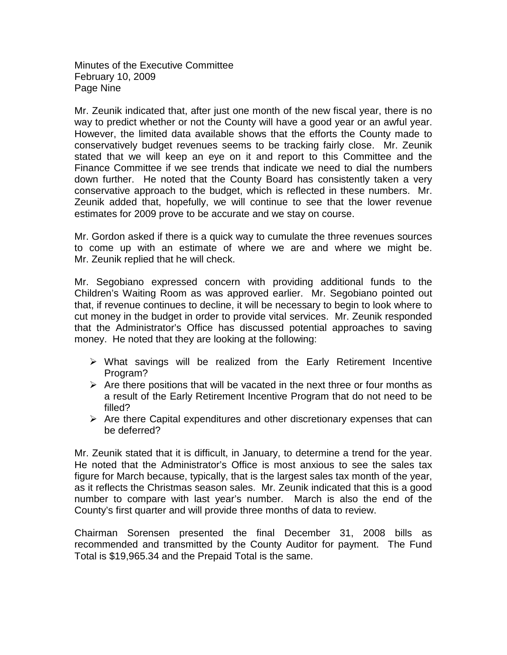Minutes of the Executive Committee February 10, 2009 Page Nine

Mr. Zeunik indicated that, after just one month of the new fiscal year, there is no way to predict whether or not the County will have a good year or an awful year. However, the limited data available shows that the efforts the County made to conservatively budget revenues seems to be tracking fairly close. Mr. Zeunik stated that we will keep an eye on it and report to this Committee and the Finance Committee if we see trends that indicate we need to dial the numbers down further. He noted that the County Board has consistently taken a very conservative approach to the budget, which is reflected in these numbers. Mr. Zeunik added that, hopefully, we will continue to see that the lower revenue estimates for 2009 prove to be accurate and we stay on course.

Mr. Gordon asked if there is a quick way to cumulate the three revenues sources to come up with an estimate of where we are and where we might be. Mr. Zeunik replied that he will check.

Mr. Segobiano expressed concern with providing additional funds to the Children's Waiting Room as was approved earlier. Mr. Segobiano pointed out that, if revenue continues to decline, it will be necessary to begin to look where to cut money in the budget in order to provide vital services. Mr. Zeunik responded that the Administrator's Office has discussed potential approaches to saving money. He noted that they are looking at the following:

- $\triangleright$  What savings will be realized from the Early Retirement Incentive Program?
- $\triangleright$  Are there positions that will be vacated in the next three or four months as a result of the Early Retirement Incentive Program that do not need to be filled?
- $\triangleright$  Are there Capital expenditures and other discretionary expenses that can be deferred?

Mr. Zeunik stated that it is difficult, in January, to determine a trend for the year. He noted that the Administrator's Office is most anxious to see the sales tax figure for March because, typically, that is the largest sales tax month of the year, as it reflects the Christmas season sales. Mr. Zeunik indicated that this is a good number to compare with last year's number. March is also the end of the County's first quarter and will provide three months of data to review.

Chairman Sorensen presented the final December 31, 2008 bills as recommended and transmitted by the County Auditor for payment. The Fund Total is \$19,965.34 and the Prepaid Total is the same.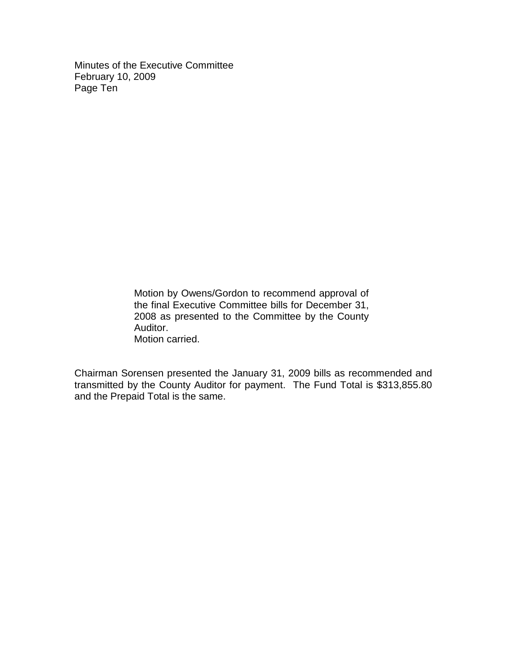Minutes of the Executive Committee February 10, 2009 Page Ten

> Motion by Owens/Gordon to recommend approval of the final Executive Committee bills for December 31, 2008 as presented to the Committee by the County Auditor. Motion carried.

Chairman Sorensen presented the January 31, 2009 bills as recommended and transmitted by the County Auditor for payment. The Fund Total is \$313,855.80 and the Prepaid Total is the same.